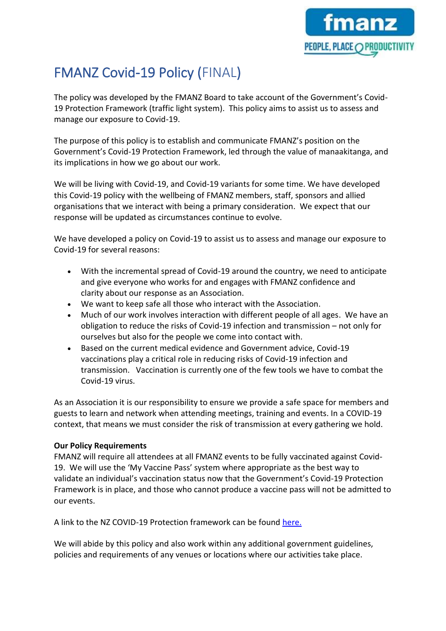

## FMANZ Covid-19 Policy (FINAL)

The policy was developed by the FMANZ Board to take account of the Government's Covid-19 Protection Framework (traffic light system). This policy aims to assist us to assess and manage our exposure to Covid-19.

The purpose of this policy is to establish and communicate FMANZ's position on the Government's Covid-19 Protection Framework, led through the value of manaakitanga, and its implications in how we go about our work. 

We will be living with Covid-19, and Covid-19 variants for some time. We have developed this Covid-19 policy with the wellbeing of FMANZ members, staff, sponsors and allied organisations that we interact with being a primary consideration. We expect that our response will be updated as circumstances continue to evolve. 

We have developed a policy on Covid-19 to assist us to assess and manage our exposure to Covid-19 for several reasons: 

- With the incremental spread of Covid-19 around the country, we need to anticipate and give everyone who works for and engages with FMANZ confidence and clarity about our response as an Association.
- We want to keep safe all those who interact with the Association.
- Much of our work involves interaction with different people of all ages. We have an obligation to reduce the risks of Covid-19 infection and transmission – not only for ourselves but also for the people we come into contact with.
- Based on the current medical evidence and Government advice, Covid-19 vaccinations play a critical role in reducing risks of Covid-19 infection and transmission.  Vaccination is currently one of the few tools we have to combat the Covid-19 virus.

As an Association it is our responsibility to ensure we provide a safe space for members and guests to learn and network when attending meetings, training and events. In a COVID-19 context, that means we must consider the risk of transmission at every gathering we hold.

## **Our Policy Requirements**

FMANZ will require all attendees at all FMANZ events to be fully vaccinated against Covid-19. We will use the 'My Vaccine Pass' system where appropriate as the best way to validate an individual's vaccination status now that the Government's Covid-19 Protection Framework is in place, and those who cannot produce a vaccine pass will not be admitted to our events.

A link to the NZ COVID-19 Protection framework can be found [here.](https://covid19.govt.nz/?gclid=Cj0KCQiA3rKQBhCNARIsACUEW_aj5ij1eGnhZWSfCIXmn1N6n7ull7G94lzAY-yxS15QdUKIuqJYhUAaAh3dEALw_wcB)

We will abide by this policy and also work within any additional government guidelines, policies and requirements of any venues or locations where our activities take place.